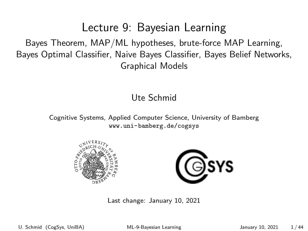#### Lecture 9: Bayesian Learning

<span id="page-0-0"></span>Bayes Theorem, MAP/ML hypotheses, brute-force MAP Learning, Bayes Optimal Classifier, Naive Bayes Classifier, Bayes Belief Networks, Graphical Models

#### Ute Schmid

Cognitive Systems, Applied Computer Science, University of Bamberg <www.uni-bamberg.de/cogsys>





Last change: January 10, 2021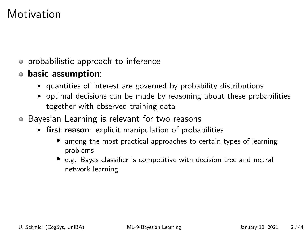## **Motivation**

- probabilistic approach to inference
- basic assumption:
	- $\rightarrow$  quantities of interest are governed by probability distributions
	- $\rightarrow$  optimal decisions can be made by reasoning about these probabilities together with observed training data
- Bayesian Learning is relevant for two reasons
	- $\triangleright$  first reason: explicit manipulation of probabilities
		- among the most practical approaches to certain types of learning problems
		- e.g. Bayes classifier is competitive with decision tree and neural network learning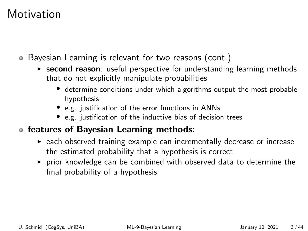## **Motivation**

- Bayesian Learning is relevant for two reasons (cont.)
	- $\triangleright$  second reason: useful perspective for understanding learning methods that do not explicitly manipulate probabilities
		- determine conditions under which algorithms output the most probable hypothesis
		- e.g. justification of the error functions in ANNs
		- e.g. justification of the inductive bias of decision trees

#### features of Bayesian Learning methods:

- $\triangleright$  each observed training example can incrementally decrease or increase the estimated probability that a hypothesis is correct
- $\triangleright$  prior knowledge can be combined with observed data to determine the final probability of a hypothesis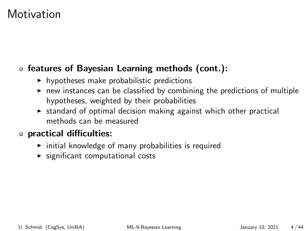## **Motivation**

#### features of Bayesian Learning methods (cont.):

- $\blacktriangleright$  hypotheses make probabilistic predictions
- $\triangleright$  new instances can be classified by combining the predictions of multiple hypotheses, weighted by their probabilities
- $\triangleright$  standard of optimal decision making against which other practical methods can be measured

#### practical difficulties:

- $\triangleright$  initial knowledge of many probabilities is required
- $\triangleright$  significant computational costs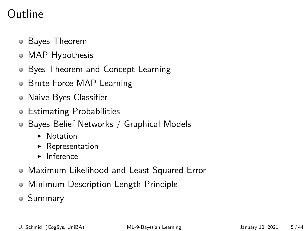## Outline

- Bayes Theorem
- MAP Hypothesis
- Byes Theorem and Concept Learning
- Brute-Force MAP Learning
- Naive Byes Classifier
- Estimating Probabilities
- Bayes Belief Networks / Graphical Models
	- $\blacktriangleright$  Notation
	- $\triangleright$  Representation
	- $\blacktriangleright$  Inference
- Maximum Likelihood and Least-Squared Error
- Minimum Description Length Principle
- Summary

U. Schmid (CogSys, UniBA) [ML-9-Bayesian Learning](#page-0-0) January 10, 2021 5/44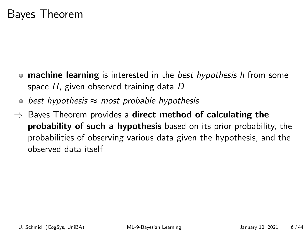### Bayes Theorem

- machine learning is interested in the *best hypothesis h* from some space H, given observed training data D
- best hypothesis  $\approx$  most probable hypothesis  $\bullet$
- $\Rightarrow$  Bayes Theorem provides a direct method of calculating the probability of such a hypothesis based on its prior probability, the probabilities of observing various data given the hypothesis, and the observed data itself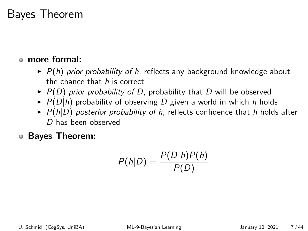### Bayes Theorem

#### more formal:

- $\blacktriangleright$  P(h) prior probability of h, reflects any background knowledge about the chance that h is correct
- $\triangleright$  P(D) prior probability of D, probability that D will be observed
- $\triangleright$   $P(D|h)$  probability of observing D given a world in which h holds
- $\triangleright$  P(h|D) posterior probability of h, reflects confidence that h holds after D has been observed

Bayes Theorem:

$$
P(h|D) = \frac{P(D|h)P(h)}{P(D)}
$$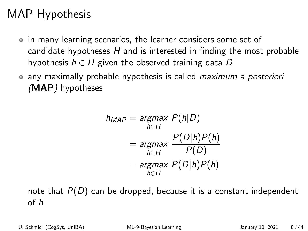## MAP Hypothesis

- in many learning scenarios, the learner considers some set of candidate hypotheses  $H$  and is interested in finding the most probable hypothesis  $h \in H$  given the observed training data D
- any maximally probable hypothesis is called *maximum a posteriori* (MAP) hypotheses

$$
h_{MAP} = \underset{h \in H}{\operatorname{argmax}} P(h|D)
$$
  
= 
$$
\underset{h \in H}{\operatorname{argmax}} \frac{P(D|h)P(h)}{P(D)}
$$
  
= 
$$
\underset{h \in H}{\operatorname{argmax}} P(D|h)P(h)
$$

note that  $P(D)$  can be dropped, because it is a constant independent of h

U. Schmid (CogSys, UniBA) [ML-9-Bayesian Learning](#page-0-0) January 10, 2021 8/44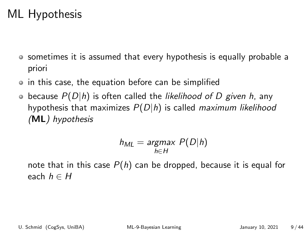## ML Hypothesis

- sometimes it is assumed that every hypothesis is equally probable a priori
- in this case, the equation before can be simplified
- $\bullet$  because  $P(D|h)$  is often called the likelihood of D given h, any hypothesis that maximizes  $P(D|h)$  is called maximum likelihood (ML) hypothesis

$$
h_{ML} = \underset{h \in H}{\text{argmax}} P(D|h)
$$

note that in this case  $P(h)$  can be dropped, because it is equal for each  $h \in H$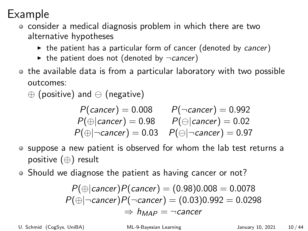## Example

- consider a medical diagnosis problem in which there are two alternative hypotheses
	- $\rightarrow$  the patient has a particular form of cancer (denoted by cancer)
	- $\triangleright$  the patient does not (denoted by  $\neg$ cancer)
- o the available data is from a particular laboratory with two possible outcomes:
	- $\oplus$  (positive) and  $\ominus$  (negative)

$$
P(cancer) = 0.008 \qquad P(\neg cancer) = 0.992
$$
  
\n
$$
P(\oplus |cancer) = 0.98 \qquad P(\ominus |cancer) = 0.02
$$
  
\n
$$
P(\oplus |cancer) = 0.03 \qquad P(\ominus |cancer) = 0.97
$$

- suppose a new patient is observed for whom the lab test returns a positive (⊕) result
- Should we diagnose the patient as having cancer or not?

$$
P(\oplus | \text{cancer}) P(\text{cancer}) = (0.98)0.008 = 0.0078
$$
  

$$
P(\oplus | \neg \text{cancer}) P(\neg \text{cancer}) = (0.03)0.992 = 0.0298
$$
  

$$
\Rightarrow h_{MAP} = \neg \text{cancer}
$$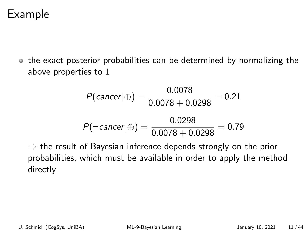### Example

• the exact posterior probabilities can be determined by normalizing the above properties to 1

$$
P(cancer | \oplus) = \frac{0.0078}{0.0078 + 0.0298} = 0.21
$$

$$
P(\neg cancer | \oplus) = \frac{0.0298}{0.0078 + 0.0298} = 0.79
$$

 $\Rightarrow$  the result of Bayesian inference depends strongly on the prior probabilities, which must be available in order to apply the method directly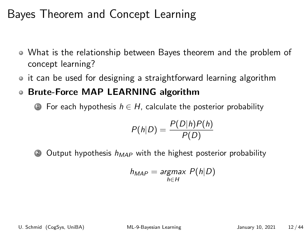## Bayes Theorem and Concept Learning

- What is the relationship between Bayes theorem and the problem of concept learning?
- it can be used for designing a straightforward learning algorithm
- Brute-Force MAP LEARNING algorithm

**1** For each hypothesis  $h \in H$ , calculate the posterior probability

$$
P(h|D) = \frac{P(D|h)P(h)}{P(D)}
$$

2 Output hypothesis  $h_{MAP}$  with the highest posterior probability

$$
h_{MAP} = \underset{h \in H}{\text{argmax}} P(h|D)
$$

U. Schmid (CogSys, UniBA) [ML-9-Bayesian Learning](#page-0-0) January 10, 2021 12/44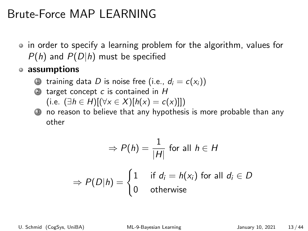## Brute-Force MAP LEARNING

• in order to specify a learning problem for the algorithm, values for  $P(h)$  and  $P(D|h)$  must be specified

assumptions

- training data D is noise free (i.e.,  $d_i = c(x_i)$ )
- 2 target concept  $c$  is contained in  $H$ (i.e.  $(∃h ∈ H)[(∀x ∈ X)[h(x) = c(x)]])$
- <sup>3</sup> no reason to believe that any hypothesis is more probable than any other

$$
\Rightarrow P(h) = \frac{1}{|H|} \text{ for all } h \in H
$$

$$
\Rightarrow P(D|h) = \begin{cases} 1 & \text{if } d_i = h(x_i) \text{ for all } d_i \in D \\ 0 & \text{otherwise} \end{cases}
$$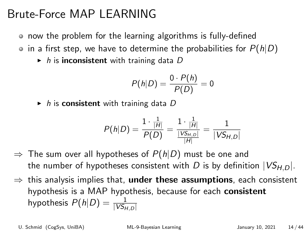## Brute-Force MAP LEARNING

now the problem for the learning algorithms is fully-defined

 $\bullet$  in a first step, we have to determine the probabilities for  $P(h|D)$ 

 $\triangleright$  h is inconsistent with training data D

$$
P(h|D) = \frac{0 \cdot P(h)}{P(D)} = 0
$$

 $\blacktriangleright$  h is consistent with training data D

$$
P(h|D) = \frac{1 \cdot \frac{1}{|H|}}{P(D)} = \frac{1 \cdot \frac{1}{|H|}}{\frac{|VS_{H,D}|}{|H|}} = \frac{1}{|VS_{H,D}|}
$$

- $\Rightarrow$  The sum over all hypotheses of  $P(h|D)$  must be one and the number of hypotheses consistent with D is by definition  $|VS_{H,D}|$ .
- $\Rightarrow$  this analysis implies that, **under these assumptions**, each consistent hypothesis is a MAP hypothesis, because for each consistent hypothesis  $P(h|D) = \frac{1}{|V S_{H,D}|}$

U. Schmid (CogSys, UniBA) [ML-9-Bayesian Learning](#page-0-0) January 10, 2021 14 / 44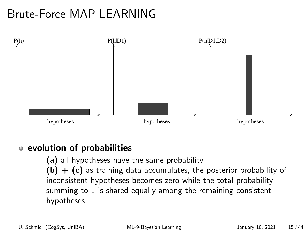# Brute-Force MAP LEARNING



#### • evolution of probabilities

(a) all hypotheses have the same probability  $(b) + (c)$  as training data accumulates, the posterior probability of inconsistent hypotheses becomes zero while the total probability summing to 1 is shared equally among the remaining consistent hypotheses

U. Schmid (CogSys, UniBA) [ML-9-Bayesian Learning](#page-0-0) January 10, 2021 15/44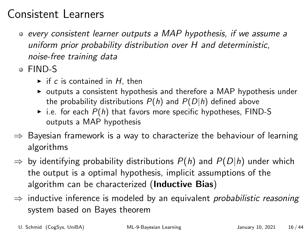## Consistent Learners

- every consistent learner outputs a MAP hypothesis, if we assume a uniform prior probability distribution over H and deterministic, noise-free training data
- FIND-S
	- $\triangleright$  if c is contained in H, then
	- $\triangleright$  outputs a consistent hypothesis and therefore a MAP hypothesis under the probability distributions  $P(h)$  and  $P(D|h)$  defined above
	- $\triangleright$  i.e. for each  $P(h)$  that favors more specific hypotheses, FIND-S outputs a MAP hypothesis
- $\Rightarrow$  Bayesian framework is a way to characterize the behaviour of learning algorithms
- $\Rightarrow$  by identifying probability distributions  $P(h)$  and  $P(D|h)$  under which the output is a optimal hypothesis, implicit assumptions of the algorithm can be characterized (Inductive Bias)
- $\Rightarrow$  inductive inference is modeled by an equivalent *probabilistic reasoning* system based on Bayes theorem

U. Schmid (CogSys, UniBA) [ML-9-Bayesian Learning](#page-0-0) January 10, 2021 16 / 44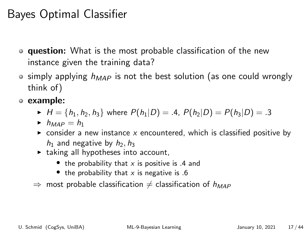# Bayes Optimal Classifier

- **question:** What is the most probable classification of the new instance given the training data?
- $\circ$  simply applying  $h_{MAP}$  is not the best solution (as one could wrongly think of)
- example:
	- $H = \{h_1, h_2, h_3\}$  where  $P(h_1|D) = .4$ ,  $P(h_2|D) = P(h_3|D) = .3$
	- $h_{MAP} = h_1$
	- $\triangleright$  consider a new instance x encountered, which is classified positive by  $h_1$  and negative by  $h_2$ ,  $h_3$
	- $\blacktriangleright$  taking all hypotheses into account,
		- the probability that  $x$  is positive is .4 and
		- the probability that  $x$  is negative is .6
	- $\Rightarrow$  most probable classification  $\neq$  classification of  $h_{MAP}$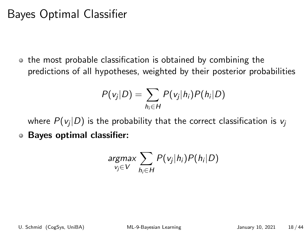# Bayes Optimal Classifier

o the most probable classification is obtained by combining the predictions of all hypotheses, weighted by their posterior probabilities

$$
P(v_j|D) = \sum_{h_i \in H} P(v_j|h_i)P(h_i|D)
$$

where  $P(\mathsf{v}_j | D)$  is the probability that the correct classification is  $\mathsf{v}_j$ Bayes optimal classifier:

$$
\underset{v_j \in V}{argmax} \sum_{h_i \in H} P(v_j|h_i)P(h_i|D)
$$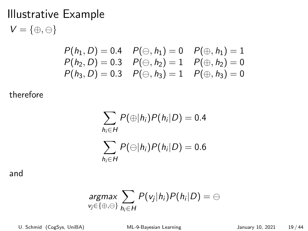$V = \{\oplus,\ominus\}$ 

$$
P(h_1, D) = 0.4 \quad P(\ominus, h_1) = 0 \quad P(\oplus, h_1) = 1
$$
  
\n
$$
P(h_2, D) = 0.3 \quad P(\ominus, h_2) = 1 \quad P(\oplus, h_2) = 0
$$
  
\n
$$
P(h_3, D) = 0.3 \quad P(\ominus, h_3) = 1 \quad P(\oplus, h_3) = 0
$$

therefore

$$
\sum_{h_i \in H} P(\bigoplus |h_i) P(h_i|D) = 0.4
$$
  

$$
\sum_{h_i \in H} P(\bigoplus |h_i) P(h_i|D) = 0.6
$$

and

$$
\underset{v_j \in \{\oplus,\ominus\}}{\text{argmax}} \sum_{h_i \in H} P(v_j|h_i)P(h_i|D) = \ominus
$$

U. Schmid (CogSys, UniBA) [ML-9-Bayesian Learning](#page-0-0) January 10, 2021 19/44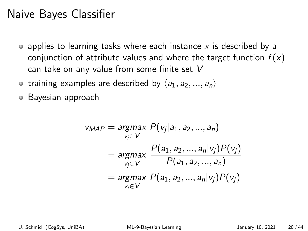### Naive Bayes Classifier

- $\bullet$  applies to learning tasks where each instance x is described by a conjunction of attribute values and where the target function  $f(x)$ can take on any value from some finite set V
- training examples are described by  $\langle a_1, a_2, ..., a_n \rangle$
- Bayesian approach  $\bullet$

$$
v_{MAP} = \underset{v_j \in V}{argmax} P(v_j | a_1, a_2, ..., a_n)
$$
  
= 
$$
\underset{v_j \in V}{argmax} \frac{P(a_1, a_2, ..., a_n | v_j) P(v_j)}{P(a_1, a_2, ..., a_n)}
$$
  
= 
$$
\underset{v_j \in V}{argmax} P(a_1, a_2, ..., a_n | v_j) P(v_j)
$$

U. Schmid (CogSys, UniBA) [ML-9-Bayesian Learning](#page-0-0) January 10, 2021 20/44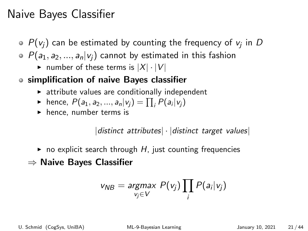## Naive Bayes Classifier

- $P({\mathsf v}_j)$  can be estimated by counting the frequency of  ${\mathsf v}_j$  in  $D$
- $P(a_1, a_2, ..., a_n | v_i)$  cannot by estimated in this fashion
	- ightharpoonup number of these terms is  $|X| \cdot |V|$
- simplification of naive Bayes classifier
	- $\triangleright$  attribute values are conditionally independent
	- hence,  $P(a_1, a_2, ..., a_n | v_j) = \prod_i P(a_i | v_j)$
	- $\blacktriangleright$  hence, number terms is

 $distinct$  attributes $\lvert \cdot \rvert distinct$  target values

- $\triangleright$  no explicit search through H, just counting frequencies
- ⇒ Naive Bayes Classifier

$$
v_{NB} = \underset{v_j \in V}{\text{argmax}} \ P(v_j) \prod_i P(a_i|v_j)
$$

U. Schmid (CogSys, UniBA) [ML-9-Bayesian Learning](#page-0-0) January 10, 2021 21/44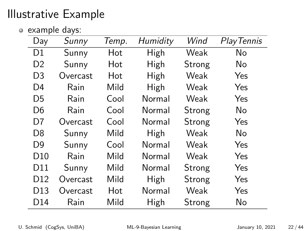example days:

| Day             | Sunny    | Temp. | Humidity | Wind   | Play Tennis |
|-----------------|----------|-------|----------|--------|-------------|
| D1              | Sunny    | Hot   | High     | Weak   | No          |
| D <sub>2</sub>  | Sunny    | Hot   | High     | Strong | No          |
| D3              | Overcast | Hot   | High     | Weak   | Yes         |
| D4              | Rain     | Mild  | High     | Weak   | Yes         |
| D5              | Rain     | Cool  | Normal   | Weak   | Yes         |
| D6              | Rain     | Cool  | Normal   | Strong | No          |
| D7              | Overcast | Cool  | Normal   | Strong | Yes         |
| D8              | Sunny    | Mild  | High     | Weak   | No          |
| D9              | Sunny    | Cool  | Normal   | Weak   | Yes         |
| D <sub>10</sub> | Rain     | Mild  | Normal   | Weak   | Yes         |
| D11             | Sunny    | Mild  | Normal   | Strong | Yes         |
| D <sub>12</sub> | Overcast | Mild  | High     | Strong | Yes         |
| D <sub>13</sub> | Overcast | Hot   | Normal   | Weak   | Yes         |
| D14             | Rain     | Mild  | High     | Strong | No          |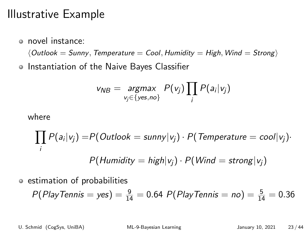novel instance:

 $\langle$  Outlook = Sunny, Temperature = Cool, Humidity = High, Wind = Strong)

o Instantiation of the Naive Bayes Classifier

$$
v_{NB} = \underset{v_j \in \{yes, no\}}{\text{argmax}} P(v_j) \prod_j P(a_i|v_j)
$$

where

$$
\prod_i P(a_i|v_j) = P(Outlook = sunny|v_j) \cdot P(Temperature = cool|v_j)
$$

$$
P(Humidity = high|v_j) \cdot P(Wind = strong|v_j)
$$

estimation of probabilities

$$
P(PlayTennis = yes) = \frac{9}{14} = 0.64 P(PlayTennis = no) = \frac{5}{14} = 0.36
$$

U. Schmid (CogSys, UniBA) [ML-9-Bayesian Learning](#page-0-0) January 10, 2021 23/44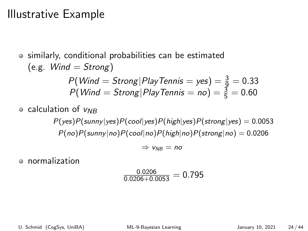similarly, conditional probabilities can be estimated  $(e.g.$  *Wind = Strong*)  $P(\textit{Wind} = \textit{Strong} | \textit{PlayTennis} = \textit{yes}) = \frac{3}{9} = 0.33$  $P(\textit{Wind} = \textit{Strong} | \textit{PlayTennis} = \textit{no}) = \frac{3}{5} = 0.60$  $\circ$  calculation of  $V_{NR}$  $P(yes)P(sunny|yes)P(cool|yes)P(high|yes)P(strong|yes) = 0.0053$  $P(no)P(sumny|no)P(cool|no)P(high|no)P(strong|no) = 0.0206$ 

$$
\Rightarrow v_{NB} = \textit{no}
$$

normalization

$$
\frac{0.0206}{0.0206+0.0053}=0.795
$$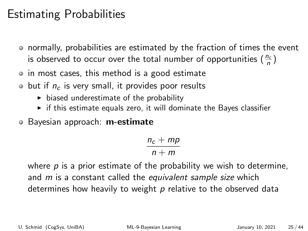### Estimating Probabilities

- normally, probabilities are estimated by the fraction of times the event is observed to occur over the total number of opportunities  $(\frac{n_c}{n})$
- in most cases, this method is a good estimate
- $\bullet$  but if  $n_c$  is very small, it provides poor results
	- $\triangleright$  biased underestimate of the probability
	- $\triangleright$  if this estimate equals zero, it will dominate the Bayes classifier
- Bayesian approach: m-estimate

$$
\frac{n_c+mp}{n+m}
$$

where  $p$  is a prior estimate of the probability we wish to determine, and *m* is a constant called the equivalent sample size which determines how heavily to weight  $p$  relative to the observed data

U. Schmid (CogSys, UniBA) [ML-9-Bayesian Learning](#page-0-0) January 10, 2021 25/44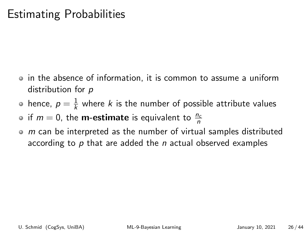### Estimating Probabilities

- in the absence of information, it is common to assume a uniform distribution for p
- hence,  $\rho=\frac{1}{k}$  $\frac{1}{k}$  where  $k$  is the number of possible attribute values

if  $m = 0$ , the **m-estimate** is equivalent to  $\frac{n_c}{n}$ 

 $\bullet$  m can be interpreted as the number of virtual samples distributed according to  $p$  that are added the  $n$  actual observed examples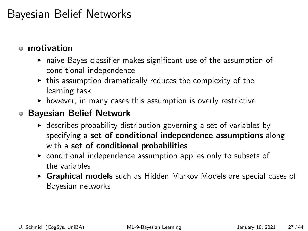## Bayesian Belief Networks

#### motivation

- $\triangleright$  naive Bayes classifier makes significant use of the assumption of conditional independence
- $\triangleright$  this assumption dramatically reduces the complexity of the learning task
- $\triangleright$  however, in many cases this assumption is overly restrictive

#### Bayesian Belief Network

- $\triangleright$  describes probability distribution governing a set of variables by specifying a set of conditional independence assumptions along with a set of conditional probabilities
- $\triangleright$  conditional independence assumption applies only to subsets of the variables
- $\triangleright$  Graphical models such as Hidden Markov Models are special cases of Bayesian networks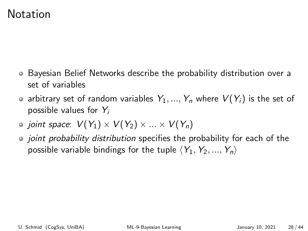#### Notation

- Bayesian Belief Networks describe the probability distribution over a set of variables
- arbitrary set of random variables  $Y_1, ..., Y_n$  where  $V(Y_i)$  is the set of possible values for  $Y_i$
- joint space:  $V(Y_1) \times V(Y_2) \times ... \times V(Y_n)$
- joint probability distribution specifies the probability for each of the possible variable bindings for the tuple  $\langle Y_1, Y_2, ..., Y_n \rangle$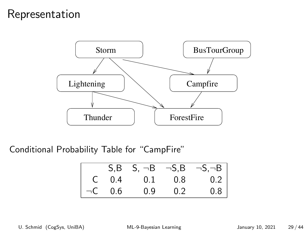#### Representation



Conditional Probability Table for "CampFire"

|              | $S.B$ $S. \neg B$ $\neg S.B$ $\neg S. \neg B$ |     |     |
|--------------|-----------------------------------------------|-----|-----|
|              | $C = 0.4$ 0.1 0.8                             |     | 0.2 |
| $\neg$ C 0.6 | 0.9                                           | 0.2 | 0.8 |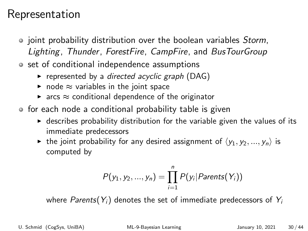#### Representation

- joint probability distribution over the boolean variables Storm, Lighting, Thunder, ForestFire, CampFire, and BusTourGroup
- set of conditional independence assumptions
	- represented by a directed acyclic graph (DAG)
	- node  $\approx$  variables in the joint space
	- $\triangleright$  arcs  $\approx$  conditional dependence of the originator
- for each node a conditional probability table is given
	- $\triangleright$  describes probability distribution for the variable given the values of its immediate predecessors
	- ighthroportion the joint probability for any desired assignment of  $\langle y_1, y_2, ..., y_n \rangle$  is computed by

$$
P(y_1, y_2, ..., y_n) = \prod_{i=1}^n P(y_i | Parents(Y_i))
$$

where Parents( $Y_i$ ) denotes the set of immediate predecessors of  $Y_i$ 

U. Schmid (CogSys, UniBA) [ML-9-Bayesian Learning](#page-0-0) January 10, 2021 30 / 44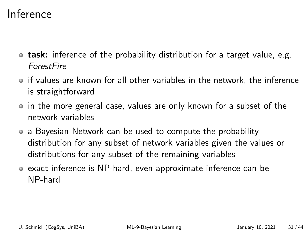### Inference

- **task:** inference of the probability distribution for a target value, e.g. ForestFire
- if values are known for all other variables in the network, the inference is straightforward
- in the more general case, values are only known for a subset of the network variables
- a Bayesian Network can be used to compute the probability distribution for any subset of network variables given the values or distributions for any subset of the remaining variables
- exact inference is NP-hard, even approximate inference can be NP-hard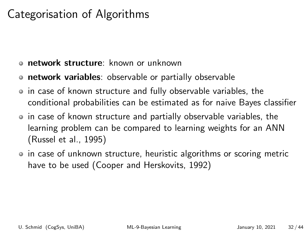## Categorisation of Algorithms

- network structure: known or unknown
- **network variables**: observable or partially observable
- in case of known structure and fully observable variables, the conditional probabilities can be estimated as for naive Bayes classifier
- in case of known structure and partially observable variables, the learning problem can be compared to learning weights for an ANN (Russel et al., 1995)
- in case of unknown structure, heuristic algorithms or scoring metric have to be used (Cooper and Herskovits, 1992)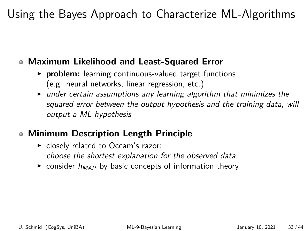# Using the Bayes Approach to Characterize ML-Algorithms

#### Maximum Likelihood and Least-Squared Error

- $\triangleright$  problem: learning continuous-valued target functions (e.g. neural networks, linear regression, etc.)
- $\triangleright$  under certain assumptions any learning algorithm that minimizes the squared error between the output hypothesis and the training data, will output a ML hypothesis

#### Minimum Description Length Principle

- $\blacktriangleright$  closely related to Occam's razor: choose the shortest explanation for the observed data
- $\triangleright$  consider  $h_{MAP}$  by basic concepts of information theory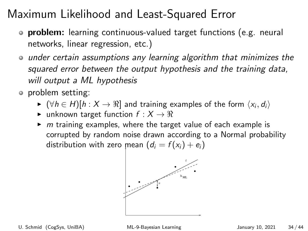- **o problem:** learning continuous-valued target functions (e.g. neural networks, linear regression, etc.)
- under certain assumptions any learning algorithm that minimizes the squared error between the output hypothesis and the training data, will output a ML hypothesis
- o problem setting:
	- $\blacktriangleright~(\forall h\in H)[h:X\to\Re]$  and training examples of the form  $\langle x_i, d_i\rangle$
	- $\triangleright$  unknown target function  $f : X \to \Re$
	- $\triangleright$  m training examples, where the target value of each example is corrupted by random noise drawn according to a Normal probability distribution with zero mean  $(d_i = f(x_i) + e_i)$

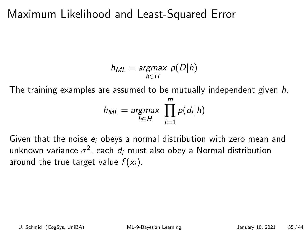$$
h_{ML} = \underset{h \in H}{\text{argmax}} p(D|h)
$$

The training examples are assumed to be mutually independent given h.

$$
h_{ML} = \underset{h \in H}{argmax} \prod_{i=1}^{m} p(d_i|h)
$$

Given that the noise  $e_i$  obeys a normal distribution with zero mean and unknown variance  $\sigma^2$ , each  $d_i$  must also obey a Normal distribution around the true target value  $f(x_i)$ .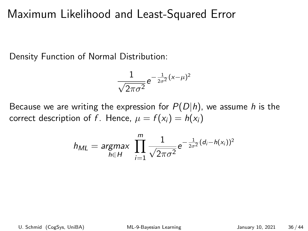Density Function of Normal Distribution:

$$
\frac{1}{\sqrt{2\pi\sigma^2}}e^{-\frac{1}{2\sigma^2}(x-\mu)^2}
$$

Because we are writing the expression for  $P(D|h)$ , we assume h is the correct description of f. Hence,  $\mu = f(x_i) = h(x_i)$ 

$$
h_{ML} = \underset{h \in H}{argmax} \ \prod_{i=1}^{m} \frac{1}{\sqrt{2\pi\sigma^2}} e^{-\frac{1}{2\sigma^2}(d_i - h(x_i))^2}
$$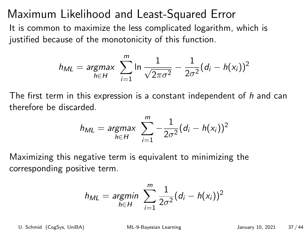It is common to maximize the less complicated logarithm, which is justified because of the monotonicity of this function.

$$
h_{ML} = \underset{h \in H}{argmax} \sum_{i=1}^{m} \ln \frac{1}{\sqrt{2\pi\sigma^2}} - \frac{1}{2\sigma^2} (d_i - h(x_i))^2
$$

The first term in this expression is a constant independent of h and can therefore be discarded.

$$
h_{ML} = \underset{h \in H}{argmax} \sum_{i=1}^{m} -\frac{1}{2\sigma^2} (d_i - h(x_i))^2
$$

Maximizing this negative term is equivalent to minimizing the corresponding positive term.

$$
h_{ML} = \underset{h \in H}{\text{argmin}} \sum_{i=1}^{m} \frac{1}{2\sigma^2} (d_i - h(x_i))^2
$$

U. Schmid (CogSys, UniBA) [ML-9-Bayesian Learning](#page-0-0) January 10, 2021 37/44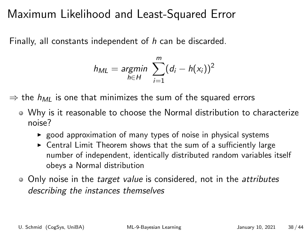Finally, all constants independent of h can be discarded.

$$
h_{ML} = \underset{h \in H}{argmin} \sum_{i=1}^{m} (d_i - h(x_i))^2
$$

 $\Rightarrow$  the  $h_{MI}$  is one that minimizes the sum of the squared errors

- Why is it reasonable to choose the Normal distribution to characterize noise?
	- $\triangleright$  good approximation of many types of noise in physical systems
	- $\triangleright$  Central Limit Theorem shows that the sum of a sufficiently large number of independent, identically distributed random variables itself obeys a Normal distribution
- Only noise in the *target value* is considered, not in the *attributes* describing the instances themselves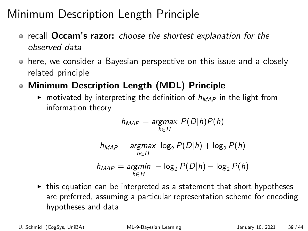- **•** recall **Occam's razor:** choose the shortest explanation for the observed data
- here, we consider a Bayesian perspective on this issue and a closely related principle
- Minimum Description Length (MDL) Principle
	- $\triangleright$  motivated by interpreting the definition of  $h_{MAP}$  in the light from information theory

$$
h_{MAP} = \underset{h \in H}{\text{argmax}} P(D|h)P(h)
$$

$$
h_{MAP} = \underset{h \in H}{\operatorname{argmax}} \log_2 P(D|h) + \log_2 P(h)
$$

$$
h_{MAP} = \underset{h \in H}{\operatorname{argmin}} - \log_2 P(D|h) - \log_2 P(h)
$$

 $\triangleright$  this equation can be interpreted as a statement that short hypotheses are preferred, assuming a particular representation scheme for encoding hypotheses and data

U. Schmid (CogSys, UniBA) [ML-9-Bayesian Learning](#page-0-0) January 10, 2021 39 / 44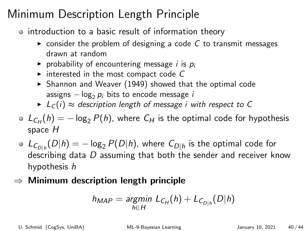- o introduction to a basic result of information theory
	- $\triangleright$  consider the problem of designing a code C to transmit messages drawn at random
	- riangleright probability of encountering message *i* is  $p_i$
	- $\triangleright$  interested in the most compact code C
	- $\blacktriangleright$  Shannon and Weaver (1949) showed that the optimal code assigns  $-\log_2 p_i$  bits to encode message i
	- $\blacktriangleright$   $L_C(i) \approx$  description length of message i with respect to C
- $L_{C_H}(h) = -\log_2 P(h)$ , where  $C_H$  is the optimal code for hypothesis space H
- $\mathcal{L}_{C_{D|h}}(D|h)=-\log_2 P(D|h)$ , where  $C_{D|h}$  is the optimal code for describing data  $D$  assuming that both the sender and receiver know hypothesis h
- $\Rightarrow$  Minimum description length principle

$$
h_{MAP} = \underset{h \in H}{\text{argmin}} \ L_{C_H}(h) + L_{C_{D|h}}(D|h)
$$

U. Schmid (CogSys, UniBA) [ML-9-Bayesian Learning](#page-0-0) January 10, 2021 40 / 44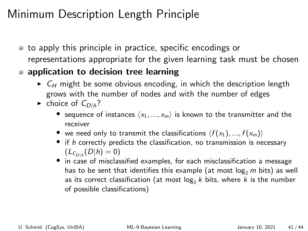- to apply this principle in practice, specific encodings or representations appropriate for the given learning task must be chosen
- application to decision tree learning
	- $\triangleright$   $C_H$  might be some obvious encoding, in which the description length grows with the number of nodes and with the number of edges
	- choice of  $C_{D|h}$ ?
		- sequence of instances  $\langle x_1, ..., x_m \rangle$  is known to the transmitter and the receiver
		- we need only to transmit the classifications  $\langle f (x_1), ..., f (x_m) \rangle$
		- $\bullet$  if h correctly predicts the classification, no transmission is necessary  $(L_{C_{D|h}}(D|h) = 0)$
		- in case of misclassified examples, for each misclassification a message has to be sent that identifies this example (at most  $\log_2 m$  bits) as well as its correct classification (at most  $log_2 k$  bits, where k is the number of possible classifications)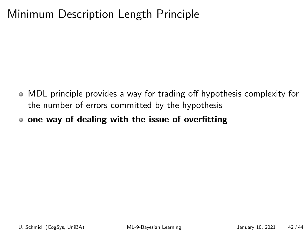- MDL principle provides a way for trading off hypothesis complexity for the number of errors committed by the hypothesis
- one way of dealing with the issue of overfitting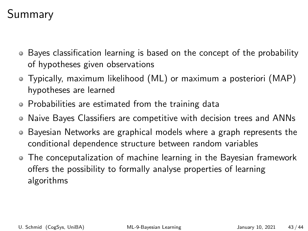# Summary

- Bayes classification learning is based on the concept of the probability of hypotheses given observations
- Typically, maximum likelihood (ML) or maximum a posteriori (MAP) hypotheses are learned
- Probabilities are estimated from the training data
- Naive Bayes Classifiers are competitive with decision trees and ANNs
- Bayesian Networks are graphical models where a graph represents the  $\bullet$ conditional dependence structure between random variables
- The conceputalization of machine learning in the Bayesian framework offers the possibility to formally analyse properties of learning algorithms